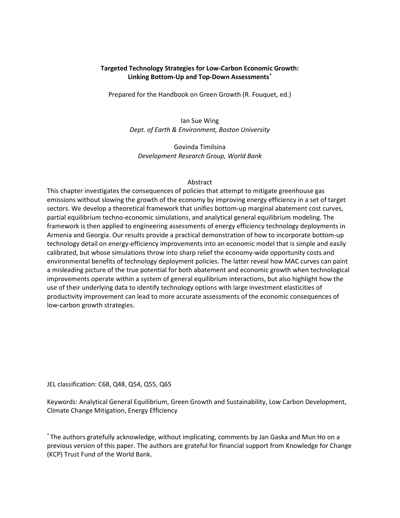## Targeted Technology Strategies for Low-Carbon Economic Growth: Linking Bottom-Up and Top-Down Assessments\*

Prepared for the Handbook on Green Growth (R. Fouquet, ed.)

Ian Sue Wing Dept. of Earth & Environment, Boston University

Govinda Timilsina Development Research Group, World Bank

#### Abstract

This chapter investigates the consequences of policies that attempt to mitigate greenhouse gas emissions without slowing the growth of the economy by improving energy efficiency in a set of target sectors. We develop a theoretical framework that unifies bottom-up marginal abatement cost curves, partial equilibrium techno-economic simulations, and analytical general equilibrium modeling. The framework is then applied to engineering assessments of energy efficiency technology deployments in Armenia and Georgia. Our results provide a practical demonstration of how to incorporate bottom-up technology detail on energy-efficiency improvements into an economic model that is simple and easily calibrated, but whose simulations throw into sharp relief the economy-wide opportunity costs and environmental benefits of technology deployment policies. The latter reveal how MAC curves can paint a misleading picture of the true potential for both abatement and economic growth when technological improvements operate within a system of general equilibrium interactions, but also highlight how the use of their underlying data to identify technology options with large investment elasticities of productivity improvement can lead to more accurate assessments of the economic consequences of low-carbon growth strategies.

JEL classification: C68, Q48, Q54, Q55, Q65

Keywords: Analytical General Equilibrium, Green Growth and Sustainability, Low Carbon Development, Climate Change Mitigation, Energy Efficiency

\* The authors gratefully acknowledge, without implicating, comments by Jan Gaska and Mun Ho on a previous version of this paper. The authors are grateful for financial support from Knowledge for Change (KCP) Trust Fund of the World Bank.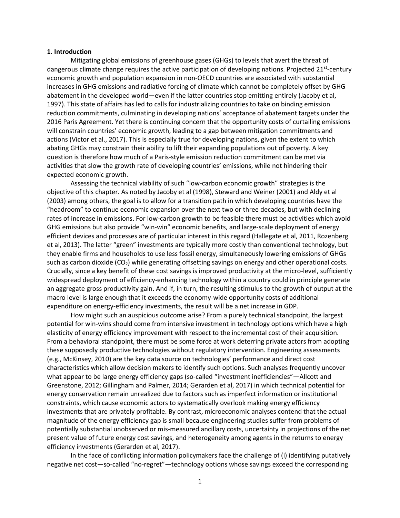#### 1. Introduction

Mitigating global emissions of greenhouse gases (GHGs) to levels that avert the threat of dangerous climate change requires the active participation of developing nations. Projected  $21^{st}$ -century economic growth and population expansion in non-OECD countries are associated with substantial increases in GHG emissions and radiative forcing of climate which cannot be completely offset by GHG abatement in the developed world—even if the latter countries stop emitting entirely (Jacoby et al, 1997). This state of affairs has led to calls for industrializing countries to take on binding emission reduction commitments, culminating in developing nations' acceptance of abatement targets under the 2016 Paris Agreement. Yet there is continuing concern that the opportunity costs of curtailing emissions will constrain countries' economic growth, leading to a gap between mitigation commitments and actions (Victor et al., 2017). This is especially true for developing nations, given the extent to which abating GHGs may constrain their ability to lift their expanding populations out of poverty. A key question is therefore how much of a Paris-style emission reduction commitment can be met via activities that slow the growth rate of developing countries' emissions, while not hindering their expected economic growth.

Assessing the technical viability of such "low-carbon economic growth" strategies is the objective of this chapter. As noted by Jacoby et al (1998), Steward and Weiner (2001) and Aldy et al (2003) among others, the goal is to allow for a transition path in which developing countries have the "headroom" to continue economic expansion over the next two or three decades, but with declining rates of increase in emissions. For low-carbon growth to be feasible there must be activities which avoid GHG emissions but also provide "win-win" economic benefits, and large-scale deployment of energy efficient devices and processes are of particular interest in this regard (Hallegate et al, 2011, Rozenberg et al, 2013). The latter "green" investments are typically more costly than conventional technology, but they enable firms and households to use less fossil energy, simultaneously lowering emissions of GHGs such as carbon dioxide  $(CO<sub>2</sub>)$  while generating offsetting savings on energy and other operational costs. Crucially, since a key benefit of these cost savings is improved productivity at the micro-level, sufficiently widespread deployment of efficiency-enhancing technology within a country could in principle generate an aggregate gross productivity gain. And if, in turn, the resulting stimulus to the growth of output at the macro level is large enough that it exceeds the economy-wide opportunity costs of additional expenditure on energy-efficiency investments, the result will be a net increase in GDP.

How might such an auspicious outcome arise? From a purely technical standpoint, the largest potential for win-wins should come from intensive investment in technology options which have a high elasticity of energy efficiency improvement with respect to the incremental cost of their acquisition. From a behavioral standpoint, there must be some force at work deterring private actors from adopting these supposedly productive technologies without regulatory intervention. Engineering assessments (e.g., McKinsey, 2010) are the key data source on technologies' performance and direct cost characteristics which allow decision makers to identify such options. Such analyses frequently uncover what appear to be large energy efficiency gaps (so-called "investment inefficiencies"—Allcott and Greenstone, 2012; Gillingham and Palmer, 2014; Gerarden et al, 2017) in which technical potential for energy conservation remain unrealized due to factors such as imperfect information or institutional constraints, which cause economic actors to systematically overlook making energy efficiency investments that are privately profitable. By contrast, microeconomic analyses contend that the actual magnitude of the energy efficiency gap is small because engineering studies suffer from problems of potentially substantial unobserved or mis-measured ancillary costs, uncertainty in projections of the net present value of future energy cost savings, and heterogeneity among agents in the returns to energy efficiency investments (Gerarden et al, 2017).

In the face of conflicting information policymakers face the challenge of (i) identifying putatively negative net cost—so-called "no-regret"—technology options whose savings exceed the corresponding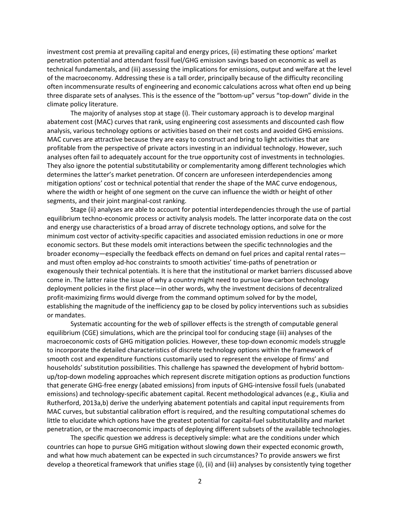investment cost premia at prevailing capital and energy prices, (ii) estimating these options' market penetration potential and attendant fossil fuel/GHG emission savings based on economic as well as technical fundamentals, and (iii) assessing the implications for emissions, output and welfare at the level of the macroeconomy. Addressing these is a tall order, principally because of the difficulty reconciling often incommensurate results of engineering and economic calculations across what often end up being three disparate sets of analyses. This is the essence of the "bottom-up" versus "top-down" divide in the climate policy literature.

The majority of analyses stop at stage (i). Their customary approach is to develop marginal abatement cost (MAC) curves that rank, using engineering cost assessments and discounted cash flow analysis, various technology options or activities based on their net costs and avoided GHG emissions. MAC curves are attractive because they are easy to construct and bring to light activities that are profitable from the perspective of private actors investing in an individual technology. However, such analyses often fail to adequately account for the true opportunity cost of investments in technologies. They also ignore the potential substitutability or complementarity among different technologies which determines the latter's market penetration. Of concern are unforeseen interdependencies among mitigation options' cost or technical potential that render the shape of the MAC curve endogenous, where the width or height of one segment on the curve can influence the width or height of other segments, and their joint marginal-cost ranking.

Stage (ii) analyses are able to account for potential interdependencies through the use of partial equilibrium techno-economic process or activity analysis models. The latter incorporate data on the cost and energy use characteristics of a broad array of discrete technology options, and solve for the minimum cost vector of activity-specific capacities and associated emission reductions in one or more economic sectors. But these models omit interactions between the specific technnologies and the broader economy—especially the feedback effects on demand on fuel prices and capital rental rates and must often employ ad-hoc constraints to smooth activities' time-paths of penetration or exogenously their technical potentials. It is here that the institutional or market barriers discussed above come in. The latter raise the issue of why a country might need to pursue low-carbon technology deployment policies in the first place—in other words, why the investment decisions of decentralized profit-maximizing firms would diverge from the command optimum solved for by the model, establishing the magnitude of the inefficiency gap to be closed by policy interventions such as subsidies or mandates.

Systematic accounting for the web of spillover effects is the strength of computable general equilibrium (CGE) simulations, which are the principal tool for conducing stage (iii) analyses of the macroeconomic costs of GHG mitigation policies. However, these top-down economic models struggle to incorporate the detailed characteristics of discrete technology options within the framework of smooth cost and expenditure functions customarily used to represent the envelope of firms' and households' substitution possibilities. This challenge has spawned the development of hybrid bottomup/top-down modeling approaches which represent discrete mitigation options as production functions that generate GHG-free energy (abated emissions) from inputs of GHG-intensive fossil fuels (unabated emissions) and technology-specific abatement capital. Recent methodological advances (e.g., Kiulia and Rutherford, 2013a,b) derive the underlying abatement potentials and capital input requirements from MAC curves, but substantial calibration effort is required, and the resulting computational schemes do little to elucidate which options have the greatest potential for capital-fuel substitutability and market penetration, or the macroeconomic impacts of deploying different subsets of the available technologies.

The specific question we address is deceptively simple: what are the conditions under which countries can hope to pursue GHG mitigation without slowing down their expected economic growth, and what how much abatement can be expected in such circumstances? To provide answers we first develop a theoretical framework that unifies stage (i), (ii) and (iii) analyses by consistently tying together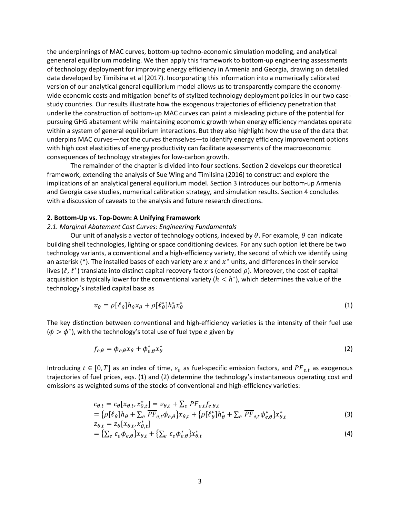the underpinnings of MAC curves, bottom-up techno-economic simulation modeling, and analytical geneneral equilibrium modeling. We then apply this framework to bottom-up engineering assessments of technology deployment for improving energy efficiency in Armenia and Georgia, drawing on detailed data developed by Timilsina et al (2017). Incorporating this information into a numerically calibrated version of our analytical general equilibrium model allows us to transparently compare the economywide economic costs and mitigation benefits of stylized technology deployment policies in our two casestudy countries. Our results illustrate how the exogenous trajectories of efficiency penetration that underlie the construction of bottom-up MAC curves can paint a misleading picture of the potential for pursuing GHG abatement while maintaining economic growth when energy efficiency mandates operate within a system of general equilibrium interactions. But they also highlight how the use of the data that underpins MAC curves—not the curves themselves—to identify energy efficiency improvement options with high cost elasticities of energy productivity can facilitate assessments of the macroeconomic consequences of technology strategies for low-carbon growth.

The remainder of the chapter is divided into four sections. Section 2 develops our theoretical framework, extending the analysis of Sue Wing and Timilsina (2016) to construct and explore the implications of an analytical general equilibrium model. Section 3 introduces our bottom-up Armenia and Georgia case studies, numerical calibration strategy, and simulation results. Section 4 concludes with a discussion of caveats to the analysis and future research directions.

### 2. Bottom-Up vs. Top-Down: A Unifying Framework

#### 2.1. Marginal Abatement Cost Curves: Engineering Fundamentals

Our unit of analysis a vector of technology options, indexed by  $\theta$ . For example,  $\theta$  can indicate building shell technologies, lighting or space conditioning devices. For any such option let there be two technology variants, a conventional and a high-efficiency variety, the second of which we identify using an asterisk (\*). The installed bases of each variety are x and  $x^*$  units, and differences in their service lives ( $\ell$ ,  $\ell^*$ ) translate into distinct capital recovery factors (denoted  $\rho$ ). Moreover, the cost of capital acquisition is typically lower for the conventional variety ( $h < h^*$ ), which determines the value of the technology's installed capital base as

$$
v_{\theta} = \rho [\ell_{\theta}] h_{\theta} x_{\theta} + \rho [\ell_{\theta}^{*}] h_{\theta}^{*} x_{\theta}^{*}
$$
 (1)

The key distinction between conventional and high-efficiency varieties is the intensity of their fuel use  $(\phi > \phi^*)$ , with the technology's total use of fuel type e given by

$$
f_{e,\theta} = \phi_{e,\theta} x_{\theta} + \phi_{e,\theta}^* x_{\theta}^* \tag{2}
$$

Introducing  $t \in [0,T]$  as an index of time,  $\varepsilon_e$  as fuel-specific emission factors, and  $\overline{PF}_{e,t}$  as exogenous trajectories of fuel prices, eqs. (1) and (2) determine the technology's instantaneous operating cost and emissions as weighted sums of the stocks of conventional and high-efficiency varieties:

$$
c_{\theta,t} = c_{\theta}[x_{\theta,t}, x_{\theta,t}^*] = v_{\theta,t} + \sum_e \overline{PF}_{e,t} f_{e,\theta,t}
$$
  
=  $\{\rho[\ell_{\theta}]h_{\theta} + \sum_e \overline{PF}_{e,t} \phi_{e,\theta}\}x_{\theta,t} + \{\rho[\ell_{\theta}^*]h_{\theta}^* + \sum_e \overline{PF}_{e,t} \phi_{e,\theta}^*\}x_{\theta,t}^*$  (3)

$$
z_{\theta,t} = z_{\theta}[x_{\theta,t}, x_{\theta,t}^*]
$$
  
= { $\sum_e \varepsilon_e \phi_{e,\theta}$ }x\_{\theta,t} + { $\sum_e \varepsilon_e \phi_{e,\theta}^*}$ }x\_{\theta,t}^\* (4)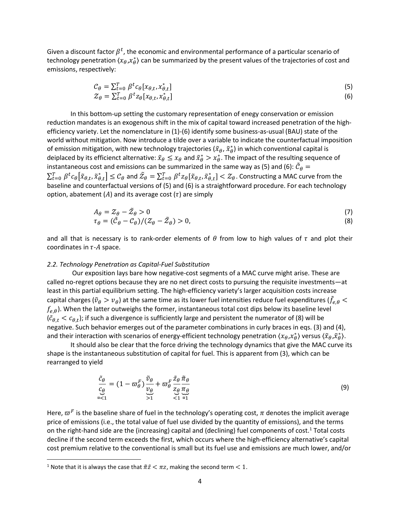Given a discount factor  $\beta^t$ , the economic and environmental performance of a particular scenario of technology penetration  $\langle x_{\theta},x_{\theta}^* \rangle$  can be summarized by the present values of the trajectories of cost and emissions, respectively:

$$
\begin{aligned} \mathcal{C}_{\theta} &= \sum_{t=0}^{T} \beta^{t} c_{\theta} [x_{\theta,t}, x_{\theta,t}^{*}] \\ \mathcal{Z}_{\theta} &= \sum_{t=0}^{T} \beta^{t} z_{\theta} [x_{\theta,t}, x_{\theta,t}^{*}] \end{aligned} \tag{5}
$$

In this bottom-up setting the customary representation of enegy conservation or emission reduction mandates is an exogenous shift in the mix of capital toward increased penetration of the highefficiency variety. Let the nomenclature in (1)-(6) identify some business-as-usual (BAU) state of the world without mitigation. Now introduce a tilde over a variable to indicate the counterfactual imposition of emission mitigation, with new technology trajectories ( $\tilde{x}_{\theta}$ ,  $\tilde{x}^*_{\theta}$ ) in which conventional capital is deiplaced by its efficienct alternative:  $\tilde x_\theta\le x_\theta$  and  $\tilde x^*_\theta>x^*_{\theta}$ . The impact of the resulting sequence of instantaneous cost and emissions can be summarized in the same way as (5) and (6):  $\tilde{C}_{\theta}$  =  $\sum_{t=0}^T\beta^tc_\theta\big[\tilde x_{\theta,t},\tilde x^*_{\theta,t}\big]\leq \mathcal{C}_\theta$  and  $\tilde{\mathcal{Z}}_\theta=\sum_{t=0}^T\beta^tz_\theta[\tilde x_{\theta,t},\tilde x^*_{\theta,t}]<\mathcal{Z}_\theta.$  Constructing a MAC curve from the baseline and counterfactual versions of (5) and (6) is a straightforward procedure. For each technology option, abatement (A) and its average cost ( $\tau$ ) are simply

$$
A_{\theta} = Z_{\theta} - \tilde{Z}_{\theta} > 0
$$
  
\n
$$
\tau_{\theta} = (\tilde{C}_{\theta} - C_{\theta})/(Z_{\theta} - \tilde{Z}_{\theta}) > 0,
$$
\n(3)

and all that is necessary is to rank-order elements of  $\theta$  from low to high values of  $\tau$  and plot their coordinates in  $\tau$ -A space.

#### 2.2. Technology Penetration as Capital-Fuel Substitution

 Our exposition lays bare how negative-cost segments of a MAC curve might arise. These are called no-regret options because they are no net direct costs to pursuing the requisite investments—at least in this partial equilibrium setting. The high-efficiency variety's larger acquisition costs increase capital charges ( $\tilde v_\theta>v_\theta$ ) at the same time as its lower fuel intensities reduce fuel expenditures ( $\tilde f_{e,\theta}<$  $f_{e,\theta}$ ). When the latter outweighs the former, instantaneous total cost dips below its baseline level  $(\tilde{c}_{\theta,t} < c_{\theta,t})$ ; if such a divergence is sufficiently large and persistent the numerator of (8) will be negative. Such behavior emerges out of the parameter combinations in curly braces in eqs. (3) and (4), and their interaction with scenarios of energy-efficient technology penetration  $\langle x_\theta,x^*_\theta\rangle$  versus  $\langle \tilde x_\theta,\tilde x^*_\theta\rangle.$ 

It should also be clear that the force driving the technology dynamics that give the MAC curve its shape is the instantaneous substitution of capital for fuel. This is apparent from (3), which can be rearranged to yield

$$
\frac{\tilde{c}_{\theta}}{c_{\theta}} = (1 - \varpi_{\theta}^{F}) \frac{\tilde{v}_{\theta}}{\underset{>1}{\nu_{\theta}}} + \varpi_{\theta}^{F} \frac{\tilde{z}_{\theta} \tilde{\pi}_{\theta}}{\underset{<1}{\tau_{\theta}} \pi_{\theta}} \tag{9}
$$

Here,  $\varpi^F$  is the baseline share of fuel in the technology's operating cost,  $\pi$  denotes the implicit average price of emissions (i.e., the total value of fuel use divided by the quantity of emissions), and the terms on the right-hand side are the (increasing) capital and (declining) fuel components of cost.<sup>1</sup> Total costs decline if the second term exceeds the first, which occurs where the high-efficiency alternative's capital cost premium relative to the conventional is small but its fuel use and emissions are much lower, and/or

<sup>&</sup>lt;sup>1</sup> Note that it is always the case that  $\tilde{\pi}\tilde{z} < \pi z$ , making the second term  $< 1$ .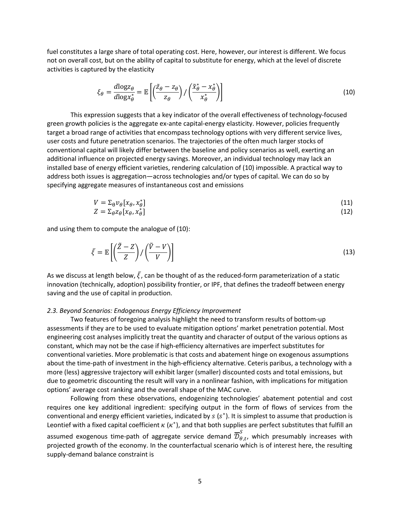fuel constitutes a large share of total operating cost. Here, however, our interest is different. We focus not on overall cost, but on the ability of capital to substitute for energy, which at the level of discrete activities is captured by the elasticity

$$
\xi_{\theta} = \frac{d \log z_{\theta}}{d \log x_{\theta}^{*}} = \mathbb{E}\left[ \left( \frac{\tilde{z}_{\theta} - z_{\theta}}{z_{\theta}} \right) / \left( \frac{\tilde{x}_{\theta}^{*} - x_{\theta}^{*}}{x_{\theta}^{*}} \right) \right]
$$
(10)

This expression suggests that a key indicator of the overall effectiveness of technology-focused green growth policies is the aggregate ex-ante capital-energy elasticity. However, policies frequently target a broad range of activities that encompass technology options with very different service lives, user costs and future penetration scenarios. The trajectories of the often much larger stocks of conventional capital will likely differ between the baseline and policy scenarios as well, exerting an additional influence on projected energy savings. Moreover, an individual technology may lack an installed base of energy efficient varieties, rendering calculation of (10) impossible. A practical way to address both issues is aggregation—across technologies and/or types of capital. We can do so by specifying aggregate measures of instantaneous cost and emissions

$$
V = \sum_{\theta} v_{\theta} [x_{\theta}, x_{\theta}^*]
$$
  
\n
$$
Z = \sum_{\theta} z_{\theta} [x_{\theta}, x_{\theta}^*]
$$
\n(11)

and using them to compute the analogue of (10):

$$
\bar{\xi} = \mathbb{E}\left[\left(\frac{\tilde{Z} - Z}{Z}\right) / \left(\frac{\tilde{V} - V}{V}\right)\right]
$$
\n(13)

As we discuss at length below,  $\bar{\xi}$ , can be thought of as the reduced-form parameterization of a static innovation (technically, adoption) possibility frontier, or IPF, that defines the tradeoff between energy saving and the use of capital in production.

#### 2.3. Beyond Scenarios: Endogenous Energy Efficiency Improvement

Two features of foregoing analysis highlight the need to transform results of bottom-up assessments if they are to be used to evaluate mitigation options' market penetration potential. Most engineering cost analyses implicitly treat the quantity and character of output of the various options as constant, which may not be the case if high-efficiency alternatives are imperfect substitutes for conventional varieties. More problematic is that costs and abatement hinge on exogenous assumptions about the time-path of investment in the high-efficiency alternative. Ceteris paribus, a technology with a more (less) aggressive trajectory will exhibit larger (smaller) discounted costs and total emissions, but due to geometric discounting the result will vary in a nonlinear fashion, with implications for mitigation options' average cost ranking and the overall shape of the MAC curve.

Following from these observations, endogenizing technologies' abatement potential and cost requires one key additional ingredient: specifying output in the form of flows of services from the conventional and energy efficient varieties, indicated by  $s$  ( $s^*$ ). It is simplest to assume that production is Leontief with a fixed capital coefficient  $\kappa$  ( $\kappa^*$ ), and that both supplies are perfect substitutes that fulfill an

assumed exogenous time-path of aggregate service demand  $\overline{\mathcal{D}}_{\theta,t}^{\mathcal{S}}$ , which presumably increases with projected growth of the economy. In the counterfactual scenario which is of interest here, the resulting supply-demand balance constraint is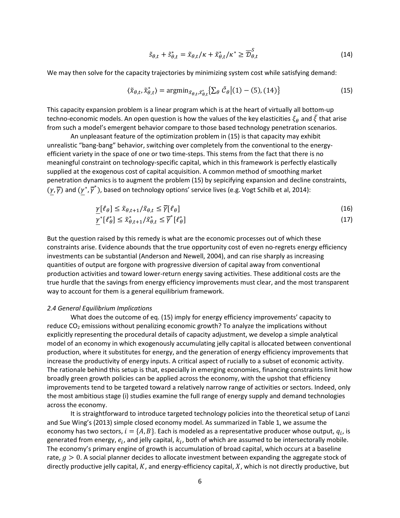$$
\tilde{s}_{\theta,t} + \tilde{s}_{\theta,t}^* = \tilde{x}_{\theta,t}/\kappa + \tilde{x}_{\theta,t}^*/\kappa^* \ge \overline{\mathcal{D}}_{\theta,t}^S
$$
\n(14)

We may then solve for the capacity trajectories by minimizing system cost while satisfying demand:

$$
\langle \tilde{x}_{\theta,t}, \tilde{x}_{\theta,t}^* \rangle = \operatorname{argmin}_{\tilde{x}_{\theta,t}, \tilde{x}_{\theta,t}^*} \left\{ \sum_{\theta} \tilde{\mathcal{C}}_{\theta} \middle| (1) - (5), (14) \right\} \tag{15}
$$

This capacity expansion problem is a linear program which is at the heart of virtually all bottom-up techno-economic models. An open question is how the values of the key elasticities  $\xi_{\theta}$  and  $\xi$  that arise from such a model's emergent behavior compare to those based technology penetration scenarios.

An unpleasant feature of the optimization problem in (15) is that capacity may exhibit unrealistic "bang-bang" behavior, switching over completely from the conventional to the energyefficient variety in the space of one or two time-steps. This stems from the fact that there is no meaningful constraint on technology-specific capital, which in this framework is perfectly elastically supplied at the exogenous cost of capital acquisition. A common method of smoothing market penetration dynamics is to augment the problem (15) by sepicifying expansion and decline constraints,  $(\gamma,\overline{\gamma})$  and  $(\gamma^*,\overline{\gamma}^*)$ , based on technology options' service lives (e.g. Vogt Schilb et al, 2014):

$$
\underline{\gamma}[\ell_{\theta}] \le \tilde{x}_{\theta, t+1} / \tilde{x}_{\theta, t} \le \overline{\gamma}[\ell_{\theta}]
$$
\n
$$
\overline{\gamma}[\ell_{\theta}] \le \tilde{x}^* \le \overline{\gamma}[\ell_{\theta}]
$$
\n
$$
(15)
$$

$$
\underline{\gamma}^*[\ell_\theta^*] \le \tilde{x}_{\theta,t+1}^*/\tilde{x}_{\theta,t}^* \le \overline{\gamma}^*[\ell_\theta^*]
$$
\n<sup>(17)</sup>

But the question raised by this remedy is what are the economic processes out of which these constraints arise. Evidence abounds that the true opportunity cost of even no-regrets energy efficiency investments can be substantial (Anderson and Newell, 2004), and can rise sharply as increasing quantities of output are forgone with progressive diversion of capital away from conventional production activities and toward lower-return energy saving activities. These additional costs are the true hurdle that the savings from energy efficiency improvements must clear, and the most transparent way to account for them is a general equilibrium framework.

#### 2.4 General Equilibrium Implications

What does the outcome of eq. (15) imply for energy efficiency improvements' capacity to reduce  $CO<sub>2</sub>$  emissions without penalizing economic growth? To analyze the implications without explicitly representing the procedural details of capacity adjustment, we develop a simple analytical model of an economy in which exogenously accumulating jelly capital is allocated between conventional production, where it substitutes for energy, and the generation of energy efficiency improvements that increase the productivity of energy inputs. A critical aspect of rucially to a subset of economic activity. The rationale behind this setup is that, especially in emerging economies, financing constraints limit how broadly green growth policies can be applied across the economy, with the upshot that efficiency improvements tend to be targeted toward a relatively narrow range of activities or sectors. Indeed, only the most ambitious stage (i) studies examine the full range of energy supply and demand technologies across the economy.

It is straightforward to introduce targeted technology policies into the theoretical setup of Lanzi and Sue Wing's (2013) simple closed economy model. As summarized in Table 1, we assume the economy has two sectors,  $i = \{A, B\}$ . Each is modeled as a representative producer whose output,  $q_i$ , is generated from energy,  $e_i$ , and jelly capital,  $k_i$ , both of which are assumed to be intersectorally mobile. The economy's primary engine of growth is accumulation of broad capital, which occurs at a baseline rate,  $g > 0$ . A social planner decides to allocate investment between expanding the aggregate stock of directly productive jelly capital,  $K$ , and energy-efficiency capital,  $X$ , which is not directly productive, but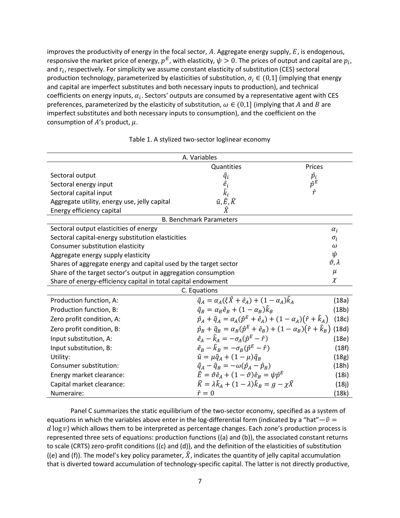improves the productivity of energy in the focal sector,  $A$ . Aggregate energy supply,  $E$ , is endogenous, responsive the market price of energy,  $p^E$ , with elasticity,  $\psi > 0$ . The prices of output and capital are  $p_i$ , and  $r_i$ , respectively. For simplicity we assume constant elasticity of substitution (CES) sectoral production technology, parameterized by elasticities of substitution,  $\sigma_i \in (0,1]$  (implying that energy and capital are imperfect substitutes and both necessary inputs to production), and technical coefficients on energy inputs,  $\alpha_i$ . Sectors' outputs are consumed by a representative agent with CES preferences, parameterized by the elasticity of substitution,  $\omega \in (0,1]$  (implying that A and B are imperfect substitutes and both necessary inputs to consumption), and the coefficient on the consumption of  $A'$ s product,  $\mu$ .

| A. Variables                                                     |                                                                                                  |                               |  |  |  |  |  |  |
|------------------------------------------------------------------|--------------------------------------------------------------------------------------------------|-------------------------------|--|--|--|--|--|--|
|                                                                  | Quantities                                                                                       | Prices                        |  |  |  |  |  |  |
| Sectoral output                                                  | $\widehat{q}_i$                                                                                  |                               |  |  |  |  |  |  |
| Sectoral energy input                                            | $\hat{e}_i$                                                                                      | $\frac{\hat{p}_i}{\hat{p}^E}$ |  |  |  |  |  |  |
| Sectoral capital input                                           | $\hat{k}_i$                                                                                      | $\hat{r}$                     |  |  |  |  |  |  |
| Aggregate utility, energy use, jelly capital                     | $\hat{u}, \hat{E}, \hat{K}$                                                                      |                               |  |  |  |  |  |  |
| Energy efficiency capital                                        | $\hat{X}$                                                                                        |                               |  |  |  |  |  |  |
|                                                                  | <b>B. Benchmark Parameters</b>                                                                   |                               |  |  |  |  |  |  |
| Sectoral output elasticities of energy                           |                                                                                                  | $\alpha_i$                    |  |  |  |  |  |  |
| Sectoral capital-energy substitution elasticities                |                                                                                                  | $\sigma_i$                    |  |  |  |  |  |  |
| Consumer substitution elasticity                                 |                                                                                                  | $\omega$<br>ψ                 |  |  |  |  |  |  |
| Aggregate energy supply elasticity                               |                                                                                                  |                               |  |  |  |  |  |  |
| Shares of aggregate energy and capital used by the target sector |                                                                                                  |                               |  |  |  |  |  |  |
| Share of the target sector's output in aggregation consumption   |                                                                                                  |                               |  |  |  |  |  |  |
| Share of energy-efficiency capital in total capital endowment    |                                                                                                  |                               |  |  |  |  |  |  |
|                                                                  | C. Equations                                                                                     |                               |  |  |  |  |  |  |
| Production function, A:                                          | $\hat{q}_4 = \alpha_4(\xi \hat{X} + \hat{e}_4) + (1 - \alpha_4)\hat{k}_4$                        | (18a)                         |  |  |  |  |  |  |
| Production function, B:                                          | $\hat{q}_B = \alpha_B \hat{e}_B + (1 - \alpha_B) \hat{k}_B$                                      | (18b)                         |  |  |  |  |  |  |
| Zero profit condition, A:                                        | $\hat{p}_A + \hat{q}_A = \alpha_A (\hat{p}^E + \hat{e}_A) + (1 - \alpha_A)(\hat{r} + \hat{k}_A)$ | (18c)                         |  |  |  |  |  |  |
| Zero profit condition, B:                                        | $\hat{p}_B + \hat{q}_B = \alpha_B (\hat{p}^E + \hat{e}_B) + (1 - \alpha_B)(\hat{r} + \hat{k}_B)$ | (18d)                         |  |  |  |  |  |  |
| Input substitution, A:                                           | $\hat{e}_A - \hat{k}_A = -\sigma_A(\hat{p}^E - \hat{r})$                                         | (18e)                         |  |  |  |  |  |  |
| Input substitution, B:                                           | $\hat{e}_B - \hat{k}_B = -\sigma_B(\hat{p}^E - \hat{r})$                                         | (18f)                         |  |  |  |  |  |  |
| Utility:                                                         | $\hat{u} = \mu \hat{q}_A + (1 - \mu) \hat{q}_B$                                                  | (18g)                         |  |  |  |  |  |  |
| Consumer substitution:                                           | $\hat{q}_A - \hat{q}_B = -\omega(\hat{p}_A - \hat{p}_B)$                                         | (18h)                         |  |  |  |  |  |  |
| Energy market clearance:                                         | $\hat{E} = \vartheta \hat{e}_A + (1 - \vartheta) \hat{e}_B = \psi \hat{p}^E$                     | (18i)                         |  |  |  |  |  |  |
| Capital market clearance:                                        | $\widehat{K} = \lambda \widehat{k}_A + (1 - \lambda) \widehat{k}_B = g - \chi \widehat{X}$       | (18j)                         |  |  |  |  |  |  |
| Numeraire:                                                       | $\hat{r}=0$                                                                                      | (18k)                         |  |  |  |  |  |  |

Table 1. A stylized two-sector loglinear economy

Panel C summarizes the static equilibrium of the two-sector economy, specified as a system of equations in which the variables above enter in the log-differential form (indicated by a "hat"— $\hat{v}$  =  $d \log v$ ) which allows them to be interpreted as percentage changes. Each zone's production process is represented three sets of equations: production functions ((a) and (b)), the associated constant returns to scale (CRTS) zero-profit conditions ((c) and (d)), and the definition of the elasticities of substitution ((e) and (f)). The model's key policy parameter,  $\hat{X}$ , indicates the quantity of jelly capital accumulation that is diverted toward accumulation of technology-specific capital. The latter is not directly productive,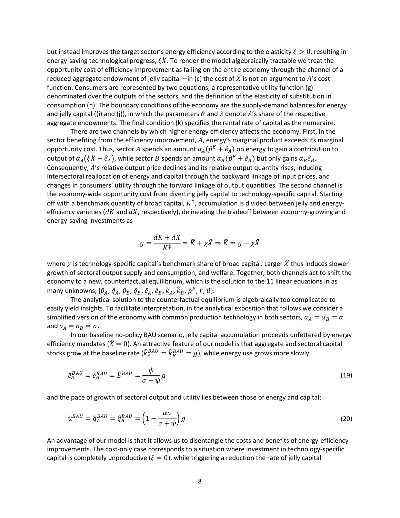but instead improves the target sector's energy efficiency according to the elasticity  $\xi > 0$ , resulting in energy-saving technological progress,  $\xi \hat{X}$ . To render the model algebraically tractable we treat the opportunity cost of efficiency improvement as falling on the entire economy through the channel of a reduced aggregate endowment of jelly capital—in (c) the cost of  $\hat{X}$  is not an argument to A's cost function. Consumers are represented by two equations, a representative utility function (g) denominated over the outputs of the sectors, and the definition of the elasticity of substitution in consumption (h). The boundary conditions of the economy are the supply-demand balances for energy and jelly capital ((i) and (j)), in which the parameters  $\vartheta$  and  $\lambda$  denote A's share of the respective aggregate endowments. The final condition (k) specifies the rental rate of capital as the numeraire.

There are two channels by which higher energy efficiency affects the economy. First, in the sector benefiting from the efficiency improvement,  $A$ , energy's marginal product exceeds its marginal opportunity cost. Thus, sector  $A$  spends an amount  $\alpha_A(\hat{p}^E+\hat{e}_A)$  on energy to gain a contribution to output of  $\alpha_A(\xi \hat X+\hat e_A)$ , while sector  $B$  spends an amount  $\alpha_B(\hat p^E+\hat e_B)$  but only gains  $\alpha_B\hat e_B$ . Consequently, A's relative output price declines and its relative output quantity rises, inducing intersectoral reallocation of energy and capital through the backward linkage of input prices, and changes in consumers' utility through the forward linkage of output quantities. The second channel is the economy-wide opportunity cost from diverting jelly capital to technology-specific capital. Starting off with a benchmark quantity of broad capital,  $K^{\ddagger}$ , accumulation is divided between jelly and energyefficiency varieties ( $dK$  and  $dX$ , respectively), delineating the tradeoff between economy-growing and energy-saving investments as

$$
g = \frac{dK + dX}{K^{\ddagger}} = \hat{K} + \chi \hat{X} \Rightarrow \hat{K} = g - \chi \hat{X}
$$

where  $\chi$  is technology-specific capital's benchmark share of broad capital. Larger  $\hat{X}$  thus induces slower growth of sectoral output supply and consumption, and welfare. Together, both channels act to shift the economy to a new, counterfactual equilibrium, which is the solution to the 11 linear equations in as many unknowns, { $\hat{p}_A$ ,  $\hat{q}_A$ ,  $\hat{p}_B$ ,  $\hat{q}_B$ ,  $\hat{e}_A$ ,  $\hat{e}_B$ ,  $\hat{k}_A$ ,  $\hat{k}_B$ ,  $\hat{p}^E$ ,  $\hat{r}$ ,  $\hat{u}$ }.

The analytical solution to the counterfactual equilibrium is algebraically too complicated to easily yield insights. To facilitate interpretation, in the analytical exposition that follows we consider a simplified version of the economy with common production technology in both sectors,  $\alpha_A = \alpha_B = \alpha$ and  $\sigma_A = \sigma_B = \sigma$ .

In our baseline no-policy BAU scenario, jelly capital accumulation proceeds unfettered by energy efficiency mandates ( $\hat{X} = 0$ ). An attractive feature of our model is that aggregate and sectoral capital stocks grow at the baseline rate ( $\hat k^{BAU}_A=\hat k^{BAU}_B=g$ ), while energy use grows more slowly,

$$
\hat{e}_A^{BAU} = \hat{e}_B^{BAU} = \hat{E}^{BAU} = \frac{\psi}{\sigma + \psi}g
$$
\n(19)

and the pace of growth of sectoral output and utility lies between those of energy and capital:

$$
\hat{u}^{BAU} = \hat{q}_A^{BAU} = \hat{q}_B^{BAU} = \left(1 - \frac{\alpha \sigma}{\sigma + \psi}\right)g\tag{20}
$$

An advantage of our model is that it allows us to disentangle the costs and benefits of energy-efficiency improvements. The cost-only case corresponds to a situation where investment in technology-specific capital is completely unproductive ( $\xi = 0$ ), while triggering a reduction the rate of jelly capital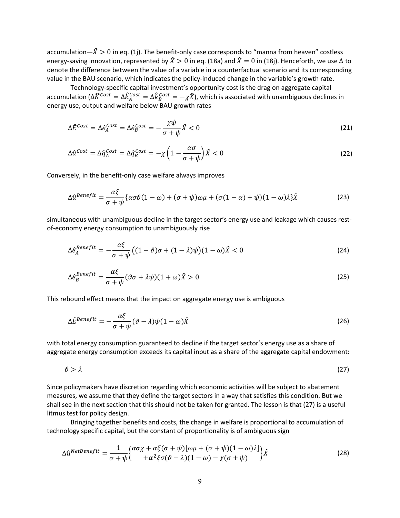accumulation— $\hat{X} > 0$  in eq. (1j). The benefit-only case corresponds to "manna from heaven" costless energy-saving innovation, represented by  $\hat{X} > 0$  in eq. (18a) and  $\hat{X} = 0$  in (18j). Henceforth, we use  $\Delta$  to denote the difference between the value of a variable in a counterfactual scenario and its corresponding value in the BAU scenario, which indicates the policy-induced change in the variable's growth rate.

Technology-specific capital investment's opportunity cost is the drag on aggregate capital accumulation ( $\Delta\widehat{K}^{Cost}=\Delta\widehat{k}^{Cost}_A=\Delta\widehat{k}^{Cost}_B=-\chi\widehat{X}$ ), which is associated with unambiguous declines in energy use, output and welfare below BAU growth rates

$$
\Delta \hat{E}^{Cost} = \Delta \hat{e}_A^{Cost} = \Delta \hat{e}_B^{Cost} = -\frac{\chi \psi}{\sigma + \psi} \hat{X} < 0 \tag{21}
$$

$$
\Delta \hat{u}^{Cost} = \Delta \hat{q}^{Cost}_A = \Delta \hat{q}^{Cost}_B = -\chi \left( 1 - \frac{\alpha \sigma}{\sigma + \psi} \right) \hat{X} < 0 \tag{22}
$$

Conversely, in the benefit-only case welfare always improves

$$
\Delta \hat{u}^{Benefit} = \frac{\alpha \xi}{\sigma + \psi} \{ \alpha \sigma \vartheta (1 - \omega) + (\sigma + \psi) \omega \mu + (\sigma (1 - \alpha) + \psi)(1 - \omega) \lambda \} \hat{X}
$$
(23)

simultaneous with unambiguous decline in the target sector's energy use and leakage which causes restof-economy energy consumption to unambiguously rise

$$
\Delta \hat{e}_A^{Benefit} = -\frac{\alpha \xi}{\sigma + \psi} \big( (1 - \vartheta)\sigma + (1 - \lambda)\psi \big) (1 - \omega)\hat{X} < 0 \tag{24}
$$

$$
\Delta \hat{e}_B^{Benefit} = \frac{\alpha \xi}{\sigma + \psi} (\vartheta \sigma + \lambda \psi)(1 + \omega)\hat{X} > 0
$$
\n(25)

This rebound effect means that the impact on aggregate energy use is ambiguous

$$
\Delta \hat{E}^{Benefit} = -\frac{\alpha \xi}{\sigma + \psi} (\vartheta - \lambda) \psi (1 - \omega) \hat{X}
$$
 (26)

with total energy consumption guaranteed to decline if the target sector's energy use as a share of aggregate energy consumption exceeds its capital input as a share of the aggregate capital endowment:

$$
\vartheta > \lambda \tag{27}
$$

Since policymakers have discretion regarding which economic activities will be subject to abatement measures, we assume that they define the target sectors in a way that satisfies this condition. But we shall see in the next section that this should not be taken for granted. The lesson is that (27) is a useful litmus test for policy design.

Bringing together benefits and costs, the change in welfare is proportional to accumulation of technology specific capital, but the constant of proportionality is of ambiguous sign

$$
\Delta \hat{u}^{NetBenefit} = \frac{1}{\sigma + \psi} \begin{cases} \alpha \sigma \chi + \alpha \xi (\sigma + \psi) [\omega \mu + (\sigma + \psi)(1 - \omega) \lambda] \\ + \alpha^2 \xi \sigma (\vartheta - \lambda)(1 - \omega) - \chi (\sigma + \psi) \end{cases} \hat{X}
$$
(28)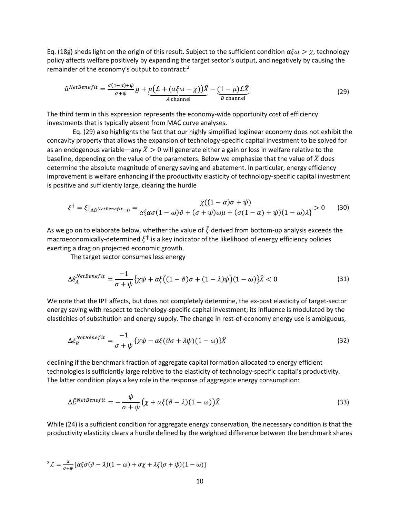Eq. (18g) sheds light on the origin of this result. Subject to the sufficient condition  $\alpha\xi\omega > \chi$ , technology policy affects welfare positively by expanding the target sector's output, and negatively by causing the remainder of the economy's output to contract:<sup>2</sup>

$$
\hat{u}^{NetBenefit} = \frac{\sigma(1-\alpha) + \psi}{\sigma + \psi} g + \underbrace{\mu(\mathcal{L} + (\alpha\xi\omega - \chi))\hat{X}}_{A \text{ channel}} - \underbrace{(1-\mu)\mathcal{L}\hat{X}}_{B \text{ channel}}
$$
\n(29)

The third term in this expression represents the economy-wide opportunity cost of efficiency investments that is typically absent from MAC curve analyses.

 Eq. (29) also highlights the fact that our highly simplified loglinear economy does not exhibit the concavity property that allows the expansion of technology-specific capital investment to be solved for as an endogenous variable—any  $\hat{X} > 0$  will generate either a gain or loss in welfare relative to the baseline, depending on the value of the parameters. Below we emphasize that the value of  $\hat{X}$  does determine the absolute magnitude of energy saving and abatement. In particular, energy efficiency improvement is welfare enhancing if the productivity elasticity of technology-specific capital investment is positive and sufficiently large, clearing the hurdle

$$
\xi^{\dagger} = \xi|_{\Delta \hat{u}^{NetBenefit} = 0} = \frac{\chi((1 - \alpha)\sigma + \psi)}{\alpha \{\alpha \sigma (1 - \omega)\vartheta + (\sigma + \psi)\omega\mu + (\sigma(1 - \alpha) + \psi)(1 - \omega)\lambda\}} > 0 \tag{30}
$$

As we go on to elaborate below, whether the value of  $\bar{\xi}$  derived from bottom-up analysis exceeds the macroeconomically-determined  $\xi^{\dagger}$  is a key indicator of the likelihood of energy efficiency policies exerting a drag on projected economic growth.

The target sector consumes less energy

$$
\Delta \hat{e}_{A}^{NetBenefit} = \frac{-1}{\sigma + \psi} \{ \chi \psi + \alpha \xi \big( (1 - \vartheta)\sigma + (1 - \lambda)\psi \big) (1 - \omega) \} \hat{X} < 0 \tag{31}
$$

We note that the IPF affects, but does not completely determine, the ex-post elasticity of target-sector energy saving with respect to technology-specific capital investment; its influence is modulated by the elasticities of substitution and energy supply. The change in rest-of-economy energy use is ambiguous,

$$
\Delta \hat{e}_{B}^{NetBenefit} = \frac{-1}{\sigma + \psi} \{ \chi \psi - \alpha \xi (\vartheta \sigma + \lambda \psi)(1 - \omega) \} \hat{X}
$$
 (32)

declining if the benchmark fraction of aggregate capital formation allocated to energy efficient technologies is sufficiently large relative to the elasticity of technology-specific capital's productivity. The latter condition plays a key role in the response of aggregate energy consumption:

$$
\Delta \hat{E}^{NetBenefit} = -\frac{\psi}{\sigma + \psi} \left( \chi + \alpha \xi (\vartheta - \lambda)(1 - \omega) \right) \hat{X}
$$
\n(33)

While (24) is a sufficient condition for aggregate energy conservation, the necessary condition is that the productivity elasticity clears a hurdle defined by the weighted difference between the benchmark shares

 $\overline{a}$  $L^2 L = \frac{\alpha}{\sigma + \psi} \{ \alpha \xi \sigma (\vartheta - \lambda) (1 - \omega) + \sigma \chi + \lambda \xi (\sigma + \psi) (1 - \omega) \}$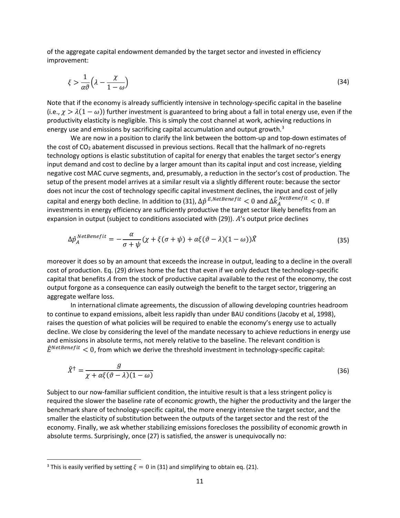of the aggregate capital endowment demanded by the target sector and invested in efficiency improvement:

$$
\xi > \frac{1}{\alpha \vartheta} \left( \lambda - \frac{\chi}{1 - \omega} \right) \tag{34}
$$

Note that if the economy is already sufficiently intensive in technology-specific capital in the baseline (i.e.,  $\chi > \lambda(1-\omega)$ ) further investment is guaranteed to bring about a fall in total energy use, even if the productivity elasticity is negligible. This is simply the cost channel at work, achieving reductions in energy use and emissions by sacrificing capital accumulation and output growth.<sup>3</sup>

We are now in a position to clarify the link between the bottom-up and top-down estimates of the cost of CO<sub>2</sub> abatement discussed in previous sections. Recall that the hallmark of no-regrets technology options is elastic substitution of capital for energy that enables the target sector's energy input demand and cost to decline by a larger amount than its capital input and cost increase, yielding negative cost MAC curve segments, and, presumably, a reduction in the sector's cost of production. The setup of the present model arrives at a similar result via a slightly different route: because the sector does not incur the cost of technology specific capital investment declines, the input and cost of jelly capital and energy both decline. In addition to (31),  $\Delta\hat{p}^{E,NetBenefit} < 0$  and  $\Delta\hat{k}^{NetBenefit}_A < 0$ . If investments in energy efficiency are sufficiently productive the target sector likely benefits from an expansion in output (subject to conditions associated with  $(29)$ ).  $A'$ s output price declines

$$
\Delta \hat{p}_A^{NetBenefit} = -\frac{\alpha}{\sigma + \psi} (\chi + \xi(\sigma + \psi) + \alpha \xi(\vartheta - \lambda)(1 - \omega)) \hat{X}
$$
\n(35)

moreover it does so by an amount that exceeds the increase in output, leading to a decline in the overall cost of production. Eq. (29) drives home the fact that even if we only deduct the technology-specific capital that benefits from the stock of productive capital available to the rest of the economy, the cost output forgone as a consequence can easily outweigh the benefit to the target sector, triggering an aggregate welfare loss.

In international climate agreements, the discussion of allowing developing countries headroom to continue to expand emissions, albeit less rapidly than under BAU conditions (Jacoby et al, 1998), raises the question of what policies will be required to enable the economy's energy use to actually decline. We close by considering the level of the mandate necessary to achieve reductions in energy use and emissions in absolute terms, not merely relative to the baseline. The relevant condition is  $\hat{E}^{NetBenefit}$  < 0, from which we derive the threshold investment in technology-specific capital:

$$
\hat{X}^{\dagger} = \frac{g}{\chi + \alpha \xi (\vartheta - \lambda)(1 - \omega)}\tag{36}
$$

Subject to our now-familiar sufficient condition, the intuitive result is that a less stringent policy is required the slower the baseline rate of economic growth, the higher the productivity and the larger the benchmark share of technology-specific capital, the more energy intensive the target sector, and the smaller the elasticity of substitution between the outputs of the target sector and the rest of the economy. Finally, we ask whether stabilizing emissions forecloses the possibility of economic growth in absolute terms. Surprisingly, once (27) is satisfied, the answer is unequivocally no:

<sup>&</sup>lt;sup>3</sup> This is easily verified by setting  $\xi = 0$  in (31) and simplifying to obtain eq. (21).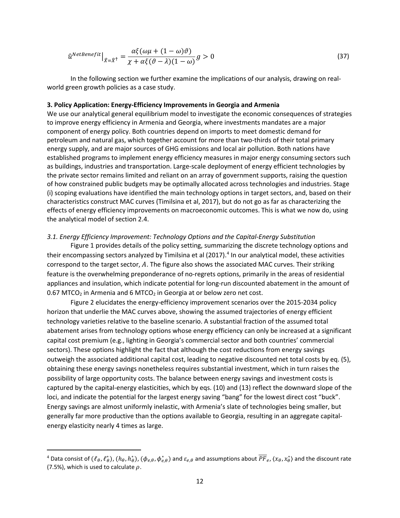$$
\hat{u}^{NetBenefit}|_{\hat{X}=\hat{X}^{\dagger}} = \frac{\alpha\xi(\omega\mu + (1-\omega)\vartheta)}{\chi + \alpha\xi(\vartheta - \lambda)(1-\omega)}g > 0
$$
\n(37)

In the following section we further examine the implications of our analysis, drawing on realworld green growth policies as a case study.

### 3. Policy Application: Energy-Efficiency Improvements in Georgia and Armenia

We use our analytical general equilibrium model to investigate the economic consequences of strategies to improve energy efficiency in Armenia and Georgia, where investments mandates are a major component of energy policy. Both countries depend on imports to meet domestic demand for petroleum and natural gas, which together account for more than two-thirds of their total primary energy supply, and are major sources of GHG emissions and local air pollution. Both nations have established programs to implement energy efficiency measures in major energy consuming sectors such as buildings, industries and transportation. Large-scale deployment of energy efficient technologies by the private sector remains limited and reliant on an array of government supports, raising the question of how constrained public budgets may be optimally allocated across technologies and industries. Stage (i) scoping evaluations have identified the main technology options in target sectors, and, based on their characteristics construct MAC curves (Timilsina et al, 2017), but do not go as far as characterizing the effects of energy efficiency improvements on macroeconomic outcomes. This is what we now do, using the analytical model of section 2.4.

#### 3.1. Energy Efficiency Improvement: Technology Options and the Capital-Energy Substitution

Figure 1 provides details of the policy setting, summarizing the discrete technology options and their encompassing sectors analyzed by Timilsina et al (2017).<sup>4</sup> In our analytical model, these activities correspond to the target sector,  $A$ . The figure also shows the associated MAC curves. Their striking feature is the overwhelming preponderance of no-regrets options, primarily in the areas of residential appliances and insulation, which indicate potential for long-run discounted abatement in the amount of  $0.67$  MTCO<sub>2</sub> in Armenia and 6 MTCO<sub>2</sub> in Georgia at or below zero net cost.

Figure 2 elucidates the energy-efficiency improvement scenarios over the 2015-2034 policy horizon that underlie the MAC curves above, showing the assumed trajectories of energy efficient technology varieties relative to the baseline scenario. A substantial fraction of the assumed total abatement arises from technology options whose energy efficiency can only be increased at a significant capital cost premium (e.g., lighting in Georgia's commercial sector and both countries' commercial sectors). These options highlight the fact that although the cost reductions from energy savings outweigh the associated additional capital cost, leading to negative discounted net total costs by eq. (5), obtaining these energy savings nonetheless requires substantial investment, which in turn raises the possibility of large opportunity costs. The balance between energy savings and investment costs is captured by the capital-energy elasticities, which by eqs. (10) and (13) reflect the downward slope of the loci, and indicate the potential for the largest energy saving "bang" for the lowest direct cost "buck". Energy savings are almost uniformly inelastic, with Armenia's slate of technologies being smaller, but generally far more productive than the options available to Georgia, resulting in an aggregate capitalenergy elasticity nearly 4 times as large.

<sup>&</sup>lt;sup>4</sup> Data consist of  $(\ell_\theta,\ell_\theta^*),$   $(h_\theta,h_\theta^*),$   $(\phi_{e,\theta},\phi_{e,\theta}^*)$  and  $\varepsilon_{e,\theta}$  and assumptions about  $\overline{PF}_{e}$ ,  $\langle x_\theta,x_\theta^* \rangle$  and the discount rate (7.5%), which is used to calculate  $\rho$ .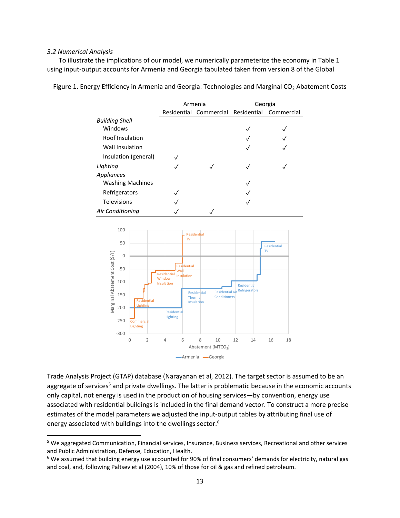#### 3.2 Numerical Analysis

 $\overline{a}$ 

 To illustrate the implications of our model, we numerically parameterize the economy in Table 1 using input-output accounts for Armenia and Georgia tabulated taken from version 8 of the Global

|                         | Armenia                            | Georgia      |            |  |  |
|-------------------------|------------------------------------|--------------|------------|--|--|
|                         | Residential Commercial Residential |              | Commercial |  |  |
| <b>Building Shell</b>   |                                    |              |            |  |  |
| Windows                 |                                    | Ñ            |            |  |  |
| Roof Insulation         |                                    |              |            |  |  |
| Wall Insulation         |                                    | $\checkmark$ |            |  |  |
| Insulation (general)    |                                    |              |            |  |  |
| Lighting                |                                    |              |            |  |  |
| Appliances              |                                    |              |            |  |  |
| <b>Washing Machines</b> |                                    | Ñ            |            |  |  |
| Refrigerators           |                                    |              |            |  |  |
| Televisions             |                                    |              |            |  |  |
| <b>Air Conditioning</b> |                                    |              |            |  |  |

Figure 1. Energy Efficiency in Armenia and Georgia: Technologies and Marginal CO<sub>2</sub> Abatement Costs



Trade Analysis Project (GTAP) database (Narayanan et al, 2012). The target sector is assumed to be an aggregate of services<sup>5</sup> and private dwellings. The latter is problematic because in the economic accounts only capital, not energy is used in the production of housing services—by convention, energy use associated with residential buildings is included in the final demand vector. To construct a more precise estimates of the model parameters we adjusted the input-output tables by attributing final use of energy associated with buildings into the dwellings sector.<sup>6</sup>

<sup>&</sup>lt;sup>5</sup> We aggregated Communication, Financial services, Insurance, Business services, Recreational and other services and Public Administration, Defense, Education, Health.

<sup>&</sup>lt;sup>6</sup> We assumed that building energy use accounted for 90% of final consumers' demands for electricity, natural gas and coal, and, following Paltsev et al (2004), 10% of those for oil & gas and refined petroleum.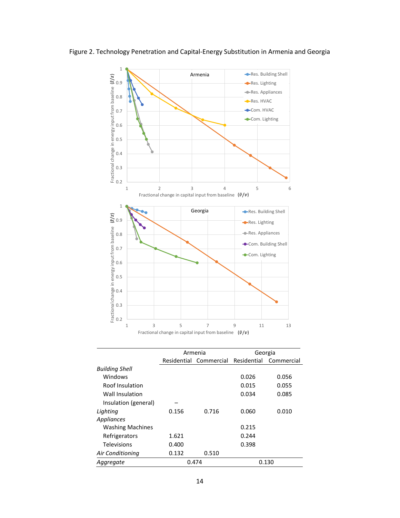

Figure 2. Technology Penetration and Capital-Energy Substitution in Armenia and Georgia

|                         |                        | Armenia | Georgia     |            |  |  |
|-------------------------|------------------------|---------|-------------|------------|--|--|
|                         | Residential Commercial |         | Residential | Commercial |  |  |
| <b>Building Shell</b>   |                        |         |             |            |  |  |
| Windows                 |                        |         | 0.026       | 0.056      |  |  |
| Roof Insulation         |                        |         | 0.015       | 0.055      |  |  |
| Wall Insulation         |                        |         | 0.034       | 0.085      |  |  |
| Insulation (general)    |                        |         |             |            |  |  |
| Lighting                | 0.156                  | 0.716   | 0.060       | 0.010      |  |  |
| Appliances              |                        |         |             |            |  |  |
| <b>Washing Machines</b> |                        |         | 0.215       |            |  |  |
| Refrigerators           | 1.621                  |         | 0.244       |            |  |  |
| Televisions             | 0.400                  |         | 0.398       |            |  |  |
| Air Conditioning        | 0.132                  | 0.510   |             |            |  |  |
| Aggregate               |                        | 0.474   |             | 0.130      |  |  |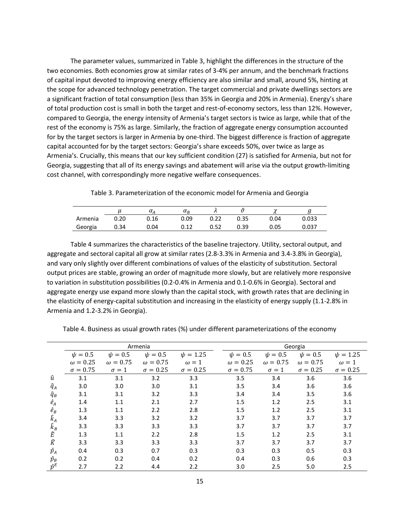The parameter values, summarized in Table 3, highlight the differences in the structure of the two economies. Both economies grow at similar rates of 3-4% per annum, and the benchmark fractions of capital input devoted to improving energy efficiency are also similar and small, around 5%, hinting at the scope for advanced technology penetration. The target commercial and private dwellings sectors are a significant fraction of total consumption (less than 35% in Georgia and 20% in Armenia). Energy's share of total production cost is small in both the target and rest-of-economy sectors, less than 12%. However, compared to Georgia, the energy intensity of Armenia's target sectors is twice as large, while that of the rest of the economy is 75% as large. Similarly, the fraction of aggregate energy consumption accounted for by the target sectors is larger in Armenia by one-third. The biggest difference is fraction of aggregate capital accounted for by the target sectors: Georgia's share exceeds 50%, over twice as large as Armenia's. Crucially, this means that our key sufficient condition (27) is satisfied for Armenia, but not for Georgia, suggesting that all of its energy savings and abatement will arise via the output growth-limiting cost channel, with correspondingly more negative welfare consequences.

Table 3. Parameterization of the economic model for Armenia and Georgia

|         |      | $\alpha$ a | $\alpha_B$ | <b>16</b> |      |      |       |
|---------|------|------------|------------|-----------|------|------|-------|
| Armenia | J.20 | 0.16       | 0.09       | 0.22      | 0.35 | 0.04 | 0.033 |
| Georgia | 0.34 | ა.04       | 0.12       | 0.52      | 0.39 | 0.05 | 0.037 |

Table 4 summarizes the characteristics of the baseline trajectory. Utility, sectoral output, and aggregate and sectoral capital all grow at similar rates (2.8-3.3% in Armenia and 3.4-3.8% in Georgia), and vary only slightly over different combinations of values of the elasticity of substitution. Sectoral output prices are stable, growing an order of magnitude more slowly, but are relatively more responsive to variation in substitution possibilities (0.2-0.4% in Armenia and 0.1-0.6% in Georgia). Sectoral and aggregate energy use expand more slowly than the capital stock, with growth rates that are declining in the elasticity of energy-capital substitution and increasing in the elasticity of energy supply (1.1-2.8% in Armenia and 1.2-3.2% in Georgia).

|                 |                 |                 | Armenia         |                 |                 |                 | Georgia         |                 |
|-----------------|-----------------|-----------------|-----------------|-----------------|-----------------|-----------------|-----------------|-----------------|
|                 | $\psi = 0.5$    | $\psi = 0.5$    | $\psi = 0.5$    | $\psi = 1.25$   | $\psi = 0.5$    | $\psi = 0.5$    | $\psi = 0.5$    | $\psi = 1.25$   |
|                 | $\omega = 0.25$ | $\omega = 0.75$ | $\omega = 0.75$ | $\omega = 1$    | $\omega = 0.25$ | $\omega = 0.75$ | $\omega = 0.75$ | $\omega = 1$    |
|                 | $\sigma = 0.75$ | $\sigma = 1$    | $\sigma = 0.25$ | $\sigma = 0.25$ | $\sigma = 0.75$ | $\sigma = 1$    | $\sigma = 0.25$ | $\sigma = 0.25$ |
| û               | 3.1             | 3.1             | 3.2             | 3.3             | 3.5             | 3.4             | 3.6             | 3.6             |
| $\widehat{q}_A$ | 3.0             | 3.0             | 3.0             | 3.1             | 3.5             | 3.4             | 3.6             | 3.6             |
| $\widehat{q}_B$ | 3.1             | 3.1             | 3.2             | 3.3             | 3.4             | 3.4             | 3.5             | 3.6             |
| $\hat{e}_A$     | 1.4             | 1.1             | 2.1             | 2.7             | 1.5             | 1.2             | 2.5             | 3.1             |
| $\hat{e}_B$     | 1.3             | 1.1             | 2.2             | 2.8             | 1.5             | 1.2             | 2.5             | 3.1             |
| $\hat{k}_A$     | 3.4             | 3.3             | 3.2             | 3.2             | 3.7             | 3.7             | 3.7             | 3.7             |
| $\widehat{k}_B$ | 3.3             | 3.3             | 3.3             | 3.3             | 3.7             | 3.7             | 3.7             | 3.7             |
| $\widehat{E}$   | 1.3             | 1.1             | 2.2             | 2.8             | 1.5             | 1.2             | 2.5             | 3.1             |
| $\widehat{K}$   | 3.3             | 3.3             | 3.3             | 3.3             | 3.7             | 3.7             | 3.7             | 3.7             |
| $\hat{p}_A$     | 0.4             | 0.3             | 0.7             | 0.3             | 0.3             | 0.3             | 0.5             | 0.3             |
| $\hat{p}_B$     | 0.2             | 0.2             | 0.4             | 0.2             | 0.4             | 0.3             | 0.6             | 0.3             |
| $\hat{p}^E$     | 2.7             | 2.2             | 4.4             | 2.2             | 3.0             | 2.5             | 5.0             | 2.5             |

Table 4. Business as usual growth rates (%) under different parameterizations of the economy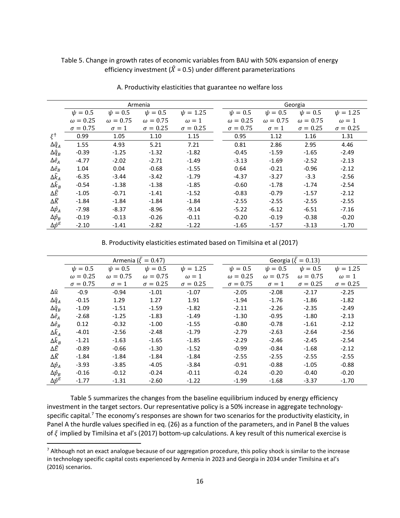# Table 5. Change in growth rates of economic variables from BAU with 50% expansion of energy efficiency investment ( $\hat{X}$  = 0.5) under different parameterizations

|                        |                 |                 | Armenia         |                 | Georgia         |                 |                 |                 |  |  |
|------------------------|-----------------|-----------------|-----------------|-----------------|-----------------|-----------------|-----------------|-----------------|--|--|
|                        | $\psi = 0.5$    | $\psi = 0.5$    | $\psi = 0.5$    | $\psi = 1.25$   | $\psi = 0.5$    | $\psi = 0.5$    | $\psi = 0.5$    | $\psi = 1.25$   |  |  |
|                        | $\omega = 0.25$ | $\omega = 0.75$ | $\omega = 0.75$ | $\omega = 1$    | $\omega = 0.25$ | $\omega = 0.75$ | $\omega = 0.75$ | $\omega = 1$    |  |  |
|                        | $\sigma = 0.75$ | $\sigma = 1$    | $\sigma = 0.25$ | $\sigma = 0.25$ | $\sigma = 0.75$ | $\sigma = 1$    | $\sigma = 0.25$ | $\sigma = 0.25$ |  |  |
| $\xi^{\dagger}$        | 0.99            | 1.05            | 1.10            | 1.15            | 0.95            | 1.12            | 1.16            | 1.31            |  |  |
| $\Delta \hat{q}_A$     | 1.55            | 4.93            | 5.21            | 7.21            | 0.81            | 2.86            | 2.95            | 4.46            |  |  |
| $\Delta \widehat{q}_B$ | $-0.39$         | $-1.25$         | $-1.32$         | $-1.82$         | $-0.45$         | $-1.59$         | $-1.65$         | $-2.49$         |  |  |
| $\Delta \hat{e}_A$     | $-4.77$         | $-2.02$         | $-2.71$         | $-1.49$         | $-3.13$         | $-1.69$         | $-2.52$         | $-2.13$         |  |  |
| $\Delta \hat{e}_B$     | 1.04            | 0.04            | $-0.68$         | $-1.55$         | 0.64            | $-0.21$         | $-0.96$         | $-2.12$         |  |  |
| $\Delta \hat{k}_A$     | $-6.35$         | $-3.44$         | $-3.42$         | $-1.79$         | $-4.37$         | $-3.27$         | $-3.3$          | $-2.56$         |  |  |
| $\Delta \hat{k}_B$     | $-0.54$         | $-1.38$         | $-1.38$         | $-1.85$         | $-0.60$         | $-1.78$         | $-1.74$         | $-2.54$         |  |  |
| ΔÊ                     | $-1.05$         | $-0.71$         | $-1.41$         | $-1.52$         | $-0.83$         | $-0.79$         | $-1.57$         | $-2.12$         |  |  |
| $\Delta \widehat K$    | $-1.84$         | $-1.84$         | $-1.84$         | $-1.84$         | $-2.55$         | $-2.55$         | $-2.55$         | $-2.55$         |  |  |
| $\Delta \hat{p}_A$     | $-7.98$         | $-8.37$         | $-8.96$         | $-9.14$         | $-5.22$         | $-6.12$         | $-6.51$         | $-7.16$         |  |  |
| $\Delta \hat{p}_B$     | $-0.19$         | $-0.13$         | $-0.26$         | $-0.11$         | $-0.20$         | $-0.19$         | $-0.38$         | $-0.20$         |  |  |
| $\Delta \hat{p}^E$     | $-2.10$         | $-1.41$         | $-2.82$         | $-1.22$         | $-1.65$         | $-1.57$         | $-3.13$         | $-1.70$         |  |  |
|                        |                 |                 |                 |                 |                 |                 |                 |                 |  |  |

A. Productivity elasticities that guarantee no welfare loss

B. Productivity elasticities estimated based on Timilsina et al (2017)

|                        |                 |                 | Armenia ( $\xi = 0.47$ ) |                 |                 |                 | Georgia ( $\xi = 0.13$ ) |                 |
|------------------------|-----------------|-----------------|--------------------------|-----------------|-----------------|-----------------|--------------------------|-----------------|
|                        | $\psi = 0.5$    | $\psi = 0.5$    | $\psi = 0.5$             | $\psi = 1.25$   | $\psi = 0.5$    | $\psi = 0.5$    | $\psi = 0.5$             | $\psi = 1.25$   |
|                        | $\omega = 0.25$ | $\omega = 0.75$ | $\omega = 0.75$          | $\omega = 1$    | $\omega = 0.25$ | $\omega = 0.75$ | $\omega = 0.75$          | $\omega = 1$    |
|                        | $\sigma = 0.75$ | $\sigma = 1$    | $\sigma = 0.25$          | $\sigma = 0.25$ | $\sigma = 0.75$ | $\sigma = 1$    | $\sigma = 0.25$          | $\sigma = 0.25$ |
| Δû                     | $-0.9$          | $-0.94$         | $-1.01$                  | $-1.07$         | $-2.05$         | $-2.08$         | $-2.17$                  | $-2.25$         |
| $\Delta \hat{q}_A$     | $-0.15$         | 1.29            | 1.27                     | 1.91            | $-1.94$         | $-1.76$         | $-1.86$                  | $-1.82$         |
| $\Delta \widehat{q}_B$ | $-1.09$         | $-1.51$         | $-1.59$                  | $-1.82$         | $-2.11$         | $-2.26$         | $-2.35$                  | $-2.49$         |
| $\Delta \hat{e}_A$     | $-2.68$         | $-1.25$         | $-1.83$                  | $-1.49$         | $-1.30$         | $-0.95$         | $-1.80$                  | $-2.13$         |
| $\Delta \hat{e}_B$     | 0.12            | $-0.32$         | $-1.00$                  | $-1.55$         | $-0.80$         | $-0.78$         | $-1.61$                  | $-2.12$         |
| $\Delta \hat{k}_A$     | $-4.01$         | $-2.56$         | $-2.48$                  | $-1.79$         | $-2.79$         | $-2.63$         | $-2.64$                  | $-2.56$         |
| $\Delta \hat{k}_B$     | $-1.21$         | $-1.63$         | $-1.65$                  | $-1.85$         | $-2.29$         | $-2.46$         | $-2.45$                  | $-2.54$         |
| ΔÊ                     | $-0.89$         | $-0.66$         | $-1.30$                  | $-1.52$         | $-0.99$         | $-0.84$         | $-1.68$                  | $-2.12$         |
| $\Delta \widehat K$    | $-1.84$         | $-1.84$         | $-1.84$                  | $-1.84$         | $-2.55$         | $-2.55$         | $-2.55$                  | $-2.55$         |
| $\Delta \hat{p}_A$     | $-3.93$         | $-3.85$         | $-4.05$                  | $-3.84$         | $-0.91$         | $-0.88$         | $-1.05$                  | $-0.88$         |
| $\Delta \hat{p}_B$     | $-0.16$         | $-0.12$         | $-0.24$                  | $-0.11$         | $-0.24$         | $-0.20$         | $-0.40$                  | $-0.20$         |
| $\Delta \hat{p}^E$     | $-1.77$         | $-1.31$         | $-2.60$                  | $-1.22$         | $-1.99$         | $-1.68$         | $-3.37$                  | $-1.70$         |

Table 5 summarizes the changes from the baseline equilibrium induced by energy efficiency investment in the target sectors. Our representative policy is a 50% increase in aggregate technologyspecific capital.<sup>7</sup> The economy's responses are shown for two scenarios for the productivity elasticity, in Panel A the hurdle values specified in eq. (26) as a function of the parameters, and in Panel B the values of  $\xi$  implied by Timilsina et al's (2017) bottom-up calculations. A key result of this numerical exercise is

<sup>&</sup>lt;sup>7</sup> Although not an exact analogue because of our aggregation procedure, this policy shock is similar to the increase in technology specific capital costs experienced by Armenia in 2023 and Georgia in 2034 under Timilsina et al's (2016) scenarios.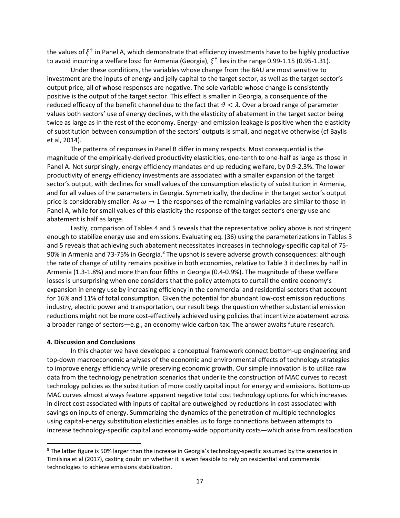the values of  $\xi^{\dagger}$  in Panel A, which demonstrate that efficiency investments have to be highly productive to avoid incurring a welfare loss: for Armenia (Georgia),  $\xi^{\dagger}$  lies in the range 0.99-1.15 (0.95-1.31).

Under these conditions, the variables whose change from the BAU are most sensitive to investment are the inputs of energy and jelly capital to the target sector, as well as the target sector's output price, all of whose responses are negative. The sole variable whose change is consistently positive is the output of the target sector. This effect is smaller in Georgia, a consequence of the reduced efficacy of the benefit channel due to the fact that  $\vartheta < \lambda$ . Over a broad range of parameter values both sectors' use of energy declines, with the elasticity of abatement in the target sector being twice as large as in the rest of the economy. Energy- and emission leakage is positive when the elasticity of substitution between consumption of the sectors' outputs is small, and negative otherwise (cf Baylis et al, 2014).

The patterns of responses in Panel B differ in many respects. Most consequential is the magnitude of the empirically-derived productivity elasticities, one-tenth to one-half as large as those in Panel A. Not surprisingly, energy efficiency mandates end up reducing welfare, by 0.9-2.3%. The lower productivity of energy efficiency investments are associated with a smaller expansion of the target sector's output, with declines for small values of the consumption elasticity of substitution in Armenia, and for all values of the parameters in Georgia. Symmetrically, the decline in the target sector's output price is considerably smaller. As  $\omega \to 1$  the responses of the remaining variables are similar to those in Panel A, while for small values of this elasticity the response of the target sector's energy use and abatement is half as large.

Lastly, comparison of Tables 4 and 5 reveals that the representative policy above is not stringent enough to stabilize energy use and emissions. Evaluating eq. (36) using the parameterizations in Tables 3 and 5 reveals that achieving such abatement necessitates increases in technology-specific capital of 75- 90% in Armenia and 73-75% in Georgia.<sup>8</sup> The upshot is severe adverse growth consequences: although the rate of change of utility remains positive in both economies, relative to Table 3 it declines by half in Armenia (1.3-1.8%) and more than four fifths in Georgia (0.4-0.9%). The magnitude of these welfare losses is unsurprising when one considers that the policy attempts to curtail the entire economy's expansion in energy use by increasing efficiency in the commercial and residential sectors that account for 16% and 11% of total consumption. Given the potential for abundant low-cost emission reductions industry, electric power and transportation, our result begs the question whether substantial emission reductions might not be more cost-effectively achieved using policies that incentivize abatement across a broader range of sectors—e.g., an economy-wide carbon tax. The answer awaits future research.

#### 4. Discussion and Conclusions

In this chapter we have developed a conceptual framework connect bottom-up engineering and top-down macroeconomic analyses of the economic and environmental effects of technology strategies to improve energy efficiency while preserving economic growth. Our simple innovation is to utilize raw data from the technology penetration scenarios that underlie the construction of MAC curves to recast technology policies as the substitution of more costly capital input for energy and emissions. Bottom-up MAC curves almost always feature apparent negative total cost technology options for which increases in direct cost associated with inputs of capital are outweighed by reductions in cost associated with savings on inputs of energy. Summarizing the dynamics of the penetration of multiple technologies using capital-energy substitution elasticities enables us to forge connections between attempts to increase technology-specific capital and economy-wide opportunity costs—which arise from reallocation

<sup>&</sup>lt;sup>8</sup> The latter figure is 50% larger than the increase in Georgia's technology-specific assumed by the scenarios in Timilsina et al (2017), casting doubt on whether it is even feasible to rely on residential and commercial technologies to achieve emissions stabilization.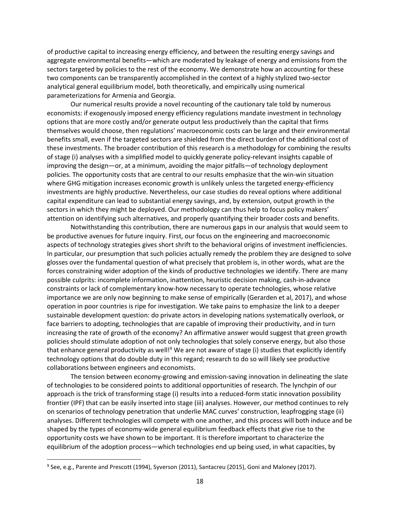of productive capital to increasing energy efficiency, and between the resulting energy savings and aggregate environmental benefits—which are moderated by leakage of energy and emissions from the sectors targeted by policies to the rest of the economy. We demonstrate how an accounting for these two components can be transparently accomplished in the context of a highly stylized two-sector analytical general equilibrium model, both theoretically, and empirically using numerical parameterizations for Armenia and Georgia.

Our numerical results provide a novel recounting of the cautionary tale told by numerous economists: if exogenously imposed energy efficiency regulations mandate investment in technology options that are more costly and/or generate output less productively than the capital that firms themselves would choose, then regulations' macroeconomic costs can be large and their environmental benefits small, even if the targeted sectors are shielded from the direct burden of the additional cost of these investments. The broader contribution of this research is a methodology for combining the results of stage (i) analyses with a simplified model to quickly generate policy-relevant insights capable of improving the design—or, at a minimum, avoiding the major pitfalls—of technology deployment policies. The opportunity costs that are central to our results emphasize that the win-win situation where GHG mitigation increases economic growth is unlikely unless the targeted energy-efficiency investments are highly productive. Nevertheless, our case studies do reveal options where additional capital expenditure can lead to substantial energy savings, and, by extension, output growth in the sectors in which they might be deployed. Our methodology can thus help to focus policy makers' attention on identifying such alternatives, and properly quantifying their broader costs and benefits.

Notwithstanding this contribution, there are numerous gaps in our analysis that would seem to be productive avenues for future inquiry. First, our focus on the engineering and macroeconomic aspects of technology strategies gives short shrift to the behavioral origins of investment inefficiencies. In particular, our presumption that such policies actually remedy the problem they are designed to solve glosses over the fundamental question of what precisely that problem is, in other words, what are the forces constraining wider adoption of the kinds of productive technologies we identify. There are many possible culprits: incomplete information, inattention, heuristic decision making, cash-in-advance constraints or lack of complementary know-how necessary to operate technologies, whose relative importance we are only now beginning to make sense of empirically (Gerarden et al, 2017), and whose operation in poor countries is ripe for investigation. We take pains to emphasize the link to a deeper sustainable development question: do private actors in developing nations systematically overlook, or face barriers to adopting, technologies that are capable of improving their productivity, and in turn increasing the rate of growth of the economy? An affirmative answer would suggest that green growth policies should stimulate adoption of not only technologies that solely conserve energy, but also those that enhance general productivity as well!<sup>9</sup> We are not aware of stage (i) studies that explicitly identify technology options that do double duty in this regard; research to do so will likely see productive collaborations between engineers and economists.

The tension between economy-growing and emission-saving innovation in delineating the slate of technologies to be considered points to additional opportunities of research. The lynchpin of our approach is the trick of transforming stage (i) results into a reduced-form static innovation possibility frontier (IPF) that can be easily inserted into stage (iii) analyses. However, our method continues to rely on scenarios of technology penetration that underlie MAC curves' construction, leapfrogging stage (ii) analyses. Different technologies will compete with one another, and this process will both induce and be shaped by the types of economy-wide general equilibrium feedback effects that give rise to the opportunity costs we have shown to be important. It is therefore important to characterize the equilibrium of the adoption process—which technologies end up being used, in what capacities, by

<sup>&</sup>lt;sup>9</sup> See, e.g., Parente and Prescott (1994), Syverson (2011), Santacreu (2015), Goni and Maloney (2017).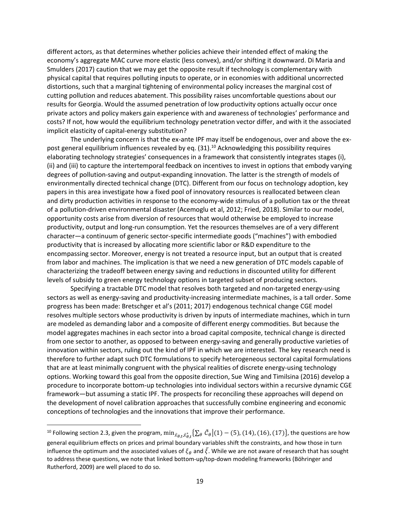different actors, as that determines whether policies achieve their intended effect of making the economy's aggregate MAC curve more elastic (less convex), and/or shifting it downward. Di Maria and Smulders (2017) caution that we may get the opposite result if technology is complementary with physical capital that requires polluting inputs to operate, or in economies with additional uncorrected distortions, such that a marginal tightening of environmental policy increases the marginal cost of cutting pollution and reduces abatement. This possibility raises uncomfortable questions about our results for Georgia. Would the assumed penetration of low productivity options actually occur once private actors and policy makers gain experience with and awareness of technologies' performance and costs? If not, how would the equilibrium technology penetration vector differ, and with it the associated implicit elasticity of capital-energy substitution?

The underlying concern is that the ex-ante IPF may itself be endogenous, over and above the expost general equilibrium influences revealed by eq.  $(31).^{10}$  Acknowledging this possibility requires elaborating technology strategies' consequences in a framework that consistently integrates stages (i), (ii) and (iii) to capture the intertemporal feedback on incentives to invest in options that embody varying degrees of pollution-saving and output-expanding innovation. The latter is the strength of models of environmentally directed technical change (DTC). Different from our focus on technology adoption, key papers in this area investigate how a fixed pool of innovatory resources is reallocated between clean and dirty production activities in response to the economy-wide stimulus of a pollution tax or the threat of a pollution-driven environmental disaster (Acemoglu et al, 2012; Fried, 2018). Similar to our model, opportunity costs arise from diversion of resources that would otherwise be employed to increase productivity, output and long-run consumption. Yet the resources themselves are of a very different character—a continuum of generic sector-specific intermediate goods ("machines") with embodied productivity that is increased by allocating more scientific labor or R&D expenditure to the encompassing sector. Moreover, energy is not treated a resource input, but an output that is created from labor and machines. The implication is that we need a new generation of DTC models capable of characterizing the tradeoff between energy saving and reductions in discounted utility for different levels of subsidy to green energy technology options in targeted subset of producing sectors.

Specifying a tractable DTC model that resolves both targeted and non-targeted energy-using sectors as well as energy-saving and productivity-increasing intermediate machines, is a tall order. Some progress has been made: Bretschger et al's (2011; 2017) endogenous technical change CGE model resolves multiple sectors whose productivity is driven by inputs of intermediate machines, which in turn are modeled as demanding labor and a composite of different energy commodities. But because the model aggregates machines in each sector into a broad capital composite, technical change is directed from one sector to another, as opposed to between energy-saving and generally productive varieties of innovation within sectors, ruling out the kind of IPF in which we are interested. The key research need is therefore to further adapt such DTC formulations to specify heterogeneous sectoral capital formulations that are at least minimally congruent with the physical realities of discrete energy-using technology options. Working toward this goal from the opposite direction, Sue Wing and Timilsina (2016) develop a procedure to incorporate bottom-up technologies into individual sectors within a recursive dynamic CGE framework—but assuming a static IPF. The prospects for reconciling these approaches will depend on the development of novel calibration approaches that successfully combine engineering and economic conceptions of technologies and the innovations that improve their performance.

 $\overline{a}$ 

 $^{10}$  Following section 2.3, given the program,  $\min_{\tilde{x}_{\theta,t},\tilde{x}_{\theta,t}^*}$   $\left\{\sum_\theta\tilde{\mathcal{C}}_\theta\big|(1)-(5),(14),(16),(17)\right\}$ , the questions are how general equilibrium effects on prices and primal boundary variables shift the constraints, and how those in turn influence the optimum and the associated values of  $\xi_\theta$  and  $\bar{\xi}$ . While we are not aware of research that has sought to address these questions, we note that linked bottom-up/top-down modeling frameworks (Böhringer and Rutherford, 2009) are well placed to do so.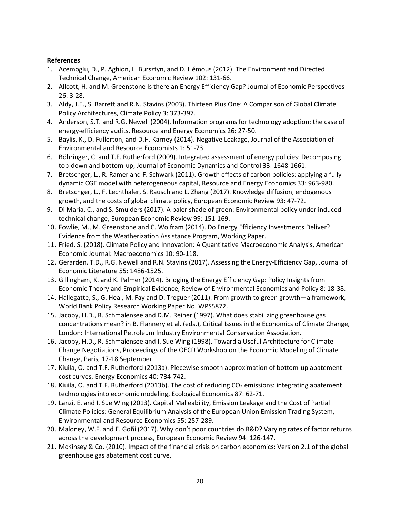# References

- 1. Acemoglu, D., P. Aghion, L. Bursztyn, and D. Hémous (2012). The Environment and Directed Technical Change, American Economic Review 102: 131-66.
- 2. Allcott, H. and M. Greenstone Is there an Energy Efficiency Gap? Journal of Economic Perspectives 26: 3-28.
- 3. Aldy, J.E., S. Barrett and R.N. Stavins (2003). Thirteen Plus One: A Comparison of Global Climate Policy Architectures, Climate Policy 3: 373-397.
- 4. Anderson, S.T. and R.G. Newell (2004). Information programs for technology adoption: the case of energy-efficiency audits, Resource and Energy Economics 26: 27-50.
- 5. Baylis, K., D. Fullerton, and D.H. Karney (2014). Negative Leakage, Journal of the Association of Environmental and Resource Economists 1: 51-73.
- 6. Böhringer, C. and T.F. Rutherford (2009). Integrated assessment of energy policies: Decomposing top-down and bottom-up, Journal of Economic Dynamics and Control 33: 1648-1661.
- 7. Bretschger, L., R. Ramer and F. Schwark (2011). Growth effects of carbon policies: applying a fully dynamic CGE model with heterogeneous capital, Resource and Energy Economics 33: 963-980.
- 8. Bretschger, L., F. Lechthaler, S. Rausch and L. Zhang (2017). Knowledge diffusion, endogenous growth, and the costs of global climate policy, European Economic Review 93: 47-72.
- 9. Di Maria, C., and S. Smulders (2017). A paler shade of green: Environmental policy under induced technical change, European Economic Review 99: 151-169.
- 10. Fowlie, M., M. Greenstone and C. Wolfram (2014). Do Energy Efficiency Investments Deliver? Evidence from the Weatherization Assistance Program, Working Paper.
- 11. Fried, S. (2018). Climate Policy and Innovation: A Quantitative Macroeconomic Analysis, American Economic Journal: Macroeconomics 10: 90-118.
- 12. Gerarden, T.D., R.G. Newell and R.N. Stavins (2017). Assessing the Energy-Efficiency Gap, Journal of Economic Literature 55: 1486-1525.
- 13. Gillingham, K. and K. Palmer (2014). Bridging the Energy Efficiency Gap: Policy Insights from Economic Theory and Empirical Evidence, Review of Environmental Economics and Policy 8: 18-38.
- 14. Hallegatte, S., G. Heal, M. Fay and D. Treguer (2011). From growth to green growth—a framework, World Bank Policy Research Working Paper No. WPS5872.
- 15. Jacoby, H.D., R. Schmalensee and D.M. Reiner (1997). What does stabilizing greenhouse gas concentrations mean? in B. Flannery et al. (eds.), Critical Issues in the Economics of Climate Change, London: International Petroleum Industry Environmental Conservation Association.
- 16. Jacoby, H.D., R. Schmalensee and I. Sue Wing (1998). Toward a Useful Architecture for Climate Change Negotiations, Proceedings of the OECD Workshop on the Economic Modeling of Climate Change, Paris, 17-18 September.
- 17. Kiuila, O. and T.F. Rutherford (2013a). Piecewise smooth approximation of bottom-up abatement cost curves, Energy Economics 40: 734-742.
- 18. Kiuila, O. and T.F. Rutherford (2013b). The cost of reducing CO<sub>2</sub> emissions: integrating abatement technologies into economic modeling, Ecological Economics 87: 62-71.
- 19. Lanzi, E. and I. Sue Wing (2013). Capital Malleability, Emission Leakage and the Cost of Partial Climate Policies: General Equilibrium Analysis of the European Union Emission Trading System, Environmental and Resource Economics 55: 257-289.
- 20. Maloney, W.F. and E. Goñi (2017). Why don't poor countries do R&D? Varying rates of factor returns across the development process, European Economic Review 94: 126-147.
- 21. McKinsey & Co. (2010). Impact of the financial crisis on carbon economics: Version 2.1 of the global greenhouse gas abatement cost curve,